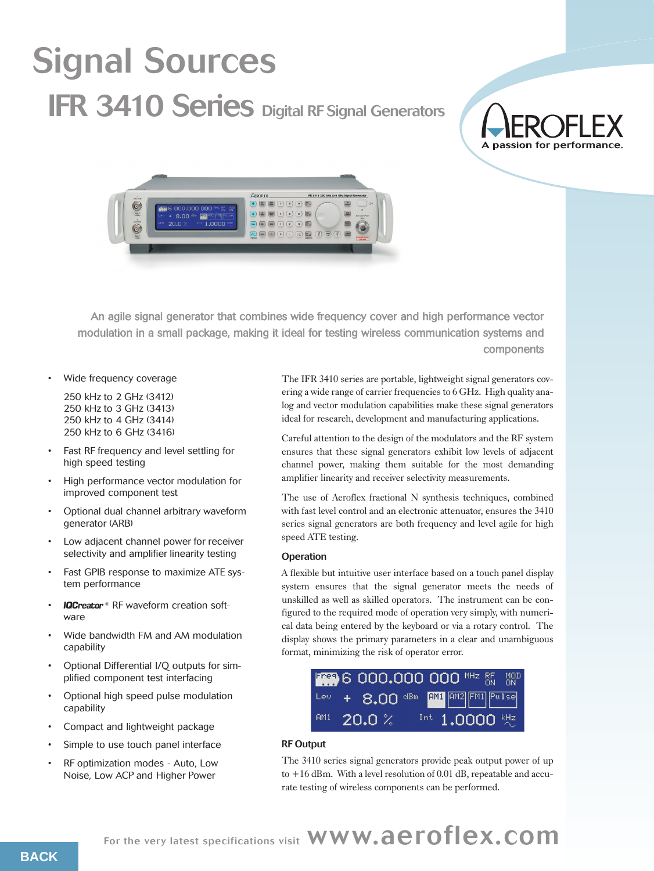# Signal Sources **IFR 3410 Series Digital RF Signal Generators**

# A passion for performance



An agile signal generator that combines wide frequency cover and high performance vector modulation in a small package, making it ideal for testing wireless communication systems and components

Wide frequency coverage

250 kHz to 2 GHz (3412) 250 kHz to 3 GHz (3413) 250 kHz to 4 GHz (3414) 250 kHz to 6 GHz (3416)

- Fast RF frequency and level settling for high speed testing
- High performance vector modulation for improved component test
- Optional dual channel arbitrary waveform generator (ARB)
- Low adjacent channel power for receiver selectivity and amplifier linearity testing
- Fast GPIB response to maximize ATE system performance
- **IQCreator**<sup>®</sup> RF waveform creation software
- Wide bandwidth FM and AM modulation capability
- Optional Differential I/Q outputs for simplified component test interfacing
- Optional high speed pulse modulation capability
- Compact and lightweight package
- Simple to use touch panel interface
- RF optimization modes Auto, Low Noise, Low ACP and Higher Power

The IFR 3410 series are portable, lightweight signal generators covering a wide range of carrier frequencies to 6 GHz. High quality analog and vector modulation capabilities make these signal generators ideal for research, development and manufacturing applications.

Careful attention to the design of the modulators and the RF system ensures that these signal generators exhibit low levels of adjacent channel power, making them suitable for the most demanding amplifier linearity and receiver selectivity measurements.

The use of Aeroflex fractional N synthesis techniques, combined with fast level control and an electronic attenuator, ensures the 3410 series signal generators are both frequency and level agile for high speed ATE testing.

# **Operation**

A flexible but intuitive user interface based on a touch panel display system ensures that the signal generator meets the needs of unskilled as well as skilled operators. The instrument can be configured to the required mode of operation very simply, with numerical data being entered by the keyboard or via a rotary control. The display shows the primary parameters in a clear and unambiguous format, minimizing the risk of operator error.



# RF Output

The 3410 series signal generators provide peak output power of up to +16 dBm. With a level resolution of 0.01 dB, repeatable and accurate testing of wireless components can be performed.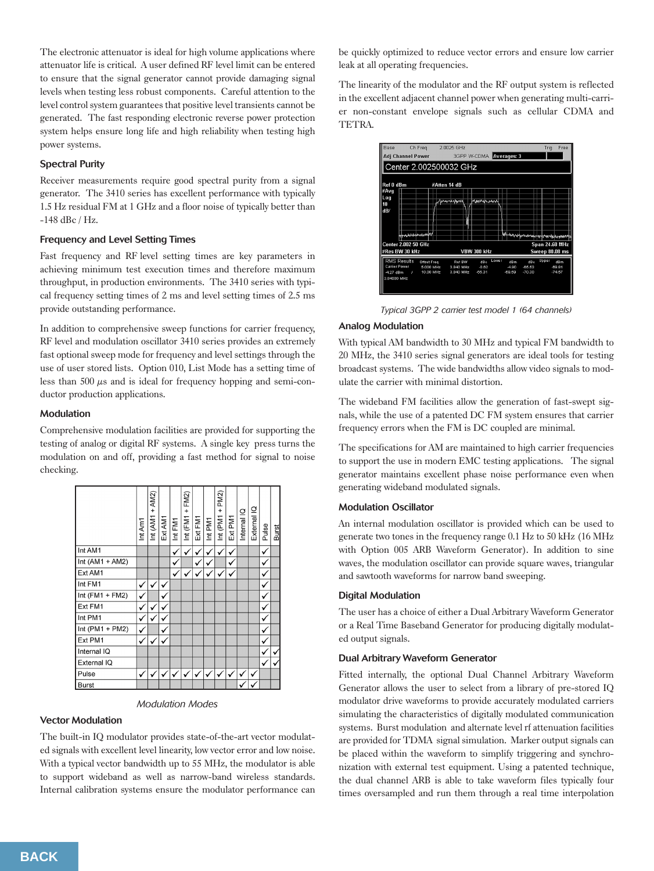The electronic attenuator is ideal for high volume applications where attenuator life is critical. A user defined RF level limit can be entered to ensure that the signal generator cannot provide damaging signal levels when testing less robust components. Careful attention to the level control system guarantees that positive level transients cannot be generated. The fast responding electronic reverse power protection system helps ensure long life and high reliability when testing high power systems.

# Spectral Purity

Receiver measurements require good spectral purity from a signal generator. The 3410 series has excellent performance with typically 1.5 Hz residual FM at 1 GHz and a floor noise of typically better than -148 dBc / Hz.

# Frequency and Level Setting Times

Fast frequency and RF level setting times are key parameters in achieving minimum test execution times and therefore maximum throughput, in production environments. The 3410 series with typical frequency setting times of 2 ms and level setting times of 2.5 ms provide outstanding performance.

In addition to comprehensive sweep functions for carrier frequency, RF level and modulation oscillator 3410 series provides an extremely fast optional sweep mode for frequency and level settings through the use of user stored lists. Option 010, List Mode has a setting time of less than 500  $\mu$ s and is ideal for frequency hopping and semi-conductor production applications.

# Modulation

Comprehensive modulation facilities are provided for supporting the testing of analog or digital RF systems. A single key press turns the modulation on and off, providing a fast method for signal to noise checking.

|                   | Int Am1      | Int $(AM1 + AM2)$ | Ext AM1 | Int FM1 | Int (FM1 + FM2) | Ext FM1 | Int PM1 | Int (PM1 + PM2) | Ext PM1 | Internal IQ | External IQ | Pulse | <b>Burst</b> |
|-------------------|--------------|-------------------|---------|---------|-----------------|---------|---------|-----------------|---------|-------------|-------------|-------|--------------|
| Int AM1           |              |                   |         | ✓       | ✓               | ✓       | ✓       | $\checkmark$    | v       |             |             | ✓     |              |
| Int $(AM1 + AM2)$ |              |                   |         | ✓       |                 | ✓       | ✓       |                 | ٧       |             |             | ✓     |              |
| Ext AM1           |              |                   |         | ✓       | √               | v       | v       | v               | v       |             |             | ✓     |              |
| Int FM1           | ✓            | ✓                 | ✓       |         |                 |         |         |                 |         |             |             | ✓     |              |
| Int $(FM1 + FM2)$ | ✓            |                   | ✓       |         |                 |         |         |                 |         |             |             | ✓     |              |
| Ext FM1           | ✓            |                   |         |         |                 |         |         |                 |         |             |             | ٧     |              |
| Int PM1           | ✓            |                   |         |         |                 |         |         |                 |         |             |             | v     |              |
| Int (PM1 + PM2)   | ✓            |                   | ✓       |         |                 |         |         |                 |         |             |             | ٧     |              |
| Ext PM1           | ✓            |                   | ✓       |         |                 |         |         |                 |         |             |             | ✓     |              |
| Internal IQ       |              |                   |         |         |                 |         |         |                 |         |             |             | ✓     | v            |
| External IQ       |              |                   |         |         |                 |         |         |                 |         |             |             | ✓     | v            |
| Pulse             | $\checkmark$ |                   |         |         |                 |         |         | ✓               | ✓       | ✓           | v           |       |              |
| <b>Burst</b>      |              |                   |         |         |                 |         |         |                 |         |             |             |       |              |

# *Modulation Modes*

# Vector Modulation

The built-in IQ modulator provides state-of-the-art vector modulated signals with excellent level linearity, low vector error and low noise. With a typical vector bandwidth up to 55 MHz, the modulator is able to support wideband as well as narrow-band wireless standards. Internal calibration systems ensure the modulator performance can

be quickly optimized to reduce vector errors and ensure low carrier leak at all operating frequencies.

The linearity of the modulator and the RF output system is reflected in the excellent adjacent channel power when generating multi-carrier non-constant envelope signals such as cellular CDMA and TETRA.



*Typical 3GPP 2 carrier test model 1 (64 channels)*

# Analog Modulation

With typical AM bandwidth to 30 MHz and typical FM bandwidth to 20 MHz, the 3410 series signal generators are ideal tools for testing broadcast systems. The wide bandwidths allow video signals to modulate the carrier with minimal distortion.

The wideband FM facilities allow the generation of fast-swept signals, while the use of a patented DC FM system ensures that carrier frequency errors when the FM is DC coupled are minimal.

The specifications for AM are maintained to high carrier frequencies to support the use in modern EMC testing applications. The signal generator maintains excellent phase noise performance even when generating wideband modulated signals.

# Modulation Oscillator

An internal modulation oscillator is provided which can be used to generate two tones in the frequency range 0.1 Hz to 50 kHz (16 MHz with Option 005 ARB Waveform Generator). In addition to sine waves, the modulation oscillator can provide square waves, triangular and sawtooth waveforms for narrow band sweeping.

# Digital Modulation

The user has a choice of either a Dual Arbitrary Waveform Generator or a Real Time Baseband Generator for producing digitally modulated output signals.

# Dual Arbitrary Waveform Generator

Fitted internally, the optional Dual Channel Arbitrary Waveform Generator allows the user to select from a library of pre-stored IQ modulator drive waveforms to provide accurately modulated carriers simulating the characteristics of digitally modulated communication systems. Burst modulation and alternate level rf attenuation facilities are provided for TDMA signal simulation. Marker output signals can be placed within the waveform to simplify triggering and synchronization with external test equipment. Using a patented technique, the dual channel ARB is able to take waveform files typically four times oversampled and run them through a real time interpolation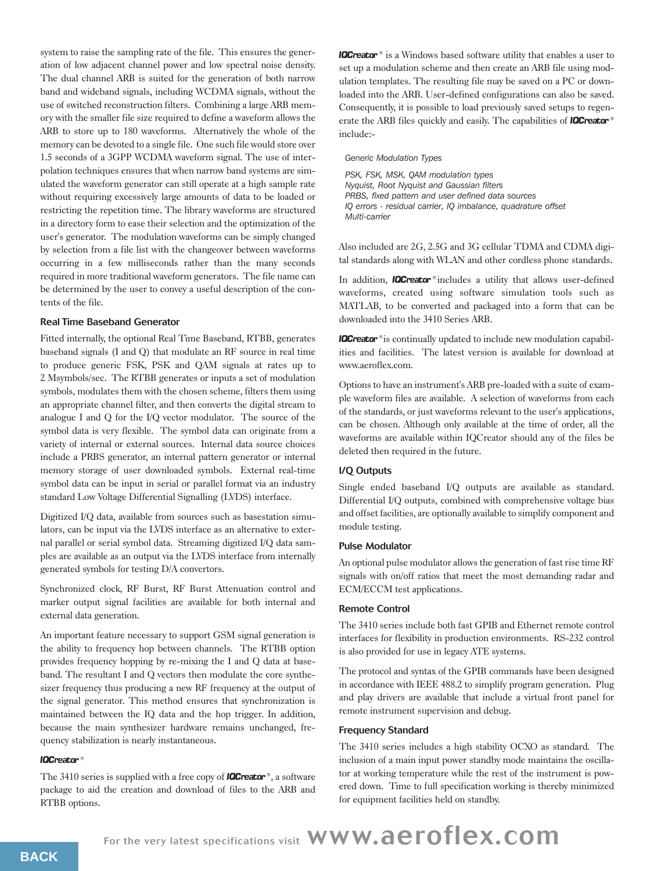system to raise the sampling rate of the file. This ensures the generation of low adjacent channel power and low spectral noise density. The dual channel ARB is suited for the generation of both narrow band and wideband signals, including WCDMA signals, without the use of switched reconstruction filters. Combining a large ARB memory with the smaller file size required to define a waveform allows the ARB to store up to 180 waveforms. Alternatively the whole of the memory can be devoted to a single file. One such file would store over 1.5 seconds of a 3GPP WCDMA waveform signal. The use of interpolation techniques ensures that when narrow band systems are simulated the waveform generator can still operate at a high sample rate without requiring excessively large amounts of data to be loaded or restricting the repetition time. The library waveforms are structured in a directory form to ease their selection and the optimization of the user's generator. The modulation waveforms can be simply changed by selection from a file list with the changeover between waveforms occurring in a few milliseconds rather than the many seconds required in more traditional waveform generators. The file name can be determined by the user to convey a useful description of the contents of the file.

# Real Time Baseband Generator

Fitted internally, the optional Real Time Baseband, RTBB, generates baseband signals (I and Q) that modulate an RF source in real time to produce generic FSK, PSK and QAM signals at rates up to 2 Msymbols/sec. The RTBB generates or inputs a set of modulation symbols, modulates them with the chosen scheme, filters them using an appropriate channel filter, and then converts the digital stream to analogue I and Q for the I/Q vector modulator. The source of the symbol data is very flexible. The symbol data can originate from a variety of internal or external sources. Internal data source choices include a PRBS generator, an internal pattern generator or internal memory storage of user downloaded symbols. External real-time symbol data can be input in serial or parallel format via an industry standard Low Voltage Differential Signalling (LVDS) interface.

Digitized I/Q data, available from sources such as basestation simulators, can be input via the LVDS interface as an alternative to external parallel or serial symbol data. Streaming digitized I/Q data samples are available as an output via the LVDS interface from internally generated symbols for testing D/A convertors.

Synchronized clock, RF Burst, RF Burst Attenuation control and marker output signal facilities are available for both internal and external data generation.

An important feature necessary to support GSM signal generation is the ability to frequency hop between channels. The RTBB option provides frequency hopping by re-mixing the I and Q data at baseband. The resultant I and Q vectors then modulate the core synthesizer frequency thus producing a new RF frequency at the output of the signal generator. This method ensures that synchronization is maintained between the IQ data and the hop trigger. In addition, because the main synthesizer hardware remains unchanged, frequency stabilization is nearly instantaneous.

# **IQCreator®**

The 3410 series is supplied with a free copy of **IQCreator**®, a software package to aid the creation and download of files to the ARB and RTBB options.

**IQCreator**<sup>®</sup> is a Windows based software utility that enables a user to set up a modulation scheme and then create an ARB file using modulation templates. The resulting file may be saved on a PC or downloaded into the ARB. User-defined configurations can also be saved. Consequently, it is possible to load previously saved setups to regenerate the ARB files quickly and easily. The capabilities of **IQCreator**® include:-

*Generic Modulation Types*

*PSK, FSK, MSK, QAM modulation types Nyquist, Root Nyquist and Gaussian filters PRBS, fixed pattern and user defined data sources IQ errors - residual carrier, IQ imbalance, quadrature offset Multi-carrier*

Also included are 2G, 2.5G and 3G cellular TDMA and CDMA digital standards along with WLAN and other cordless phone standards.

In addition, **IQCreator**® includes a utility that allows user-defined waveforms, created using software simulation tools such as MATLAB, to be converted and packaged into a form that can be downloaded into the 3410 Series ARB.

**IQCreator**<sup>®</sup> is continually updated to include new modulation capabilities and facilities. The latest version is available for download at www.aeroflex.com.

Options to have an instrument's ARB pre-loaded with a suite of example waveform files are available. A selection of waveforms from each of the standards, or just waveforms relevant to the user's applications, can be chosen. Although only available at the time of order, all the waveforms are available within IQCreator should any of the files be deleted then required in the future.

# I/Q Outputs

Single ended baseband I/Q outputs are available as standard. Differential I/Q outputs, combined with comprehensive voltage bias and offset facilities, are optionally available to simplify component and module testing.

# Pulse Modulator

An optional pulse modulator allows the generation of fast rise time RF signals with on/off ratios that meet the most demanding radar and ECM/ECCM test applications.

# Remote Control

The 3410 series include both fast GPIB and Ethernet remote control interfaces for flexibility in production environments. RS-232 control is also provided for use in legacy ATE systems.

The protocol and syntax of the GPIB commands have been designed in accordance with IEEE 488.2 to simplify program generation. Plug and play drivers are available that include a virtual front panel for remote instrument supervision and debug.

# Frequency Standard

The 3410 series includes a high stability OCXO as standard. The inclusion of a main input power standby mode maintains the oscillator at working temperature while the rest of the instrument is powered down. Time to full specification working is thereby minimized for equipment facilities held on standby.

For the very latest specifications visit WWW.aeroflex.com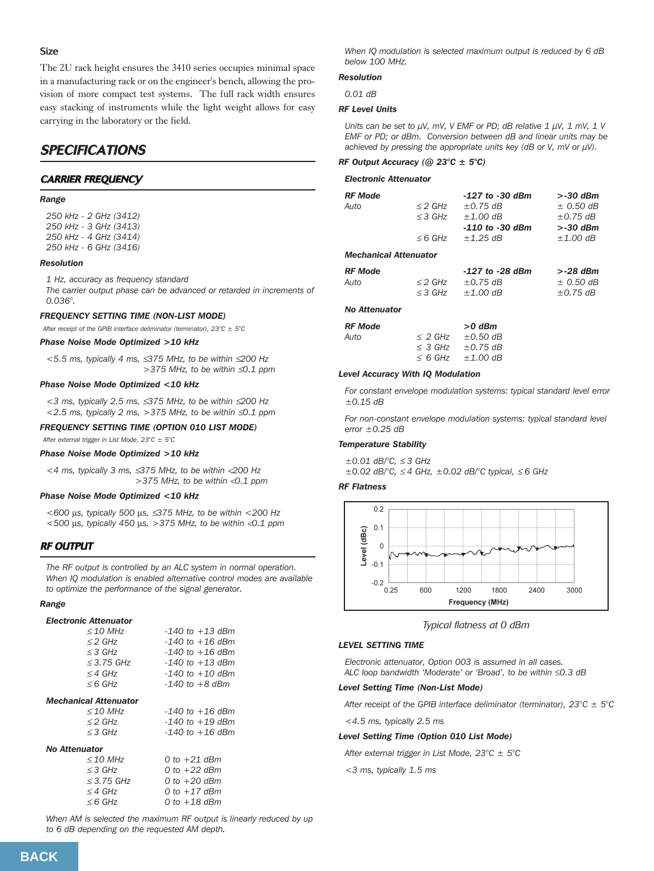# Size

The 2U rack height ensures the 3410 series occupies minimal space in a manufacturing rack or on the engineer's bench, allowing the provision of more compact test systems. The full rack width ensures easy stacking of instruments while the light weight allows for easy carrying in the laboratory or the field.

# **SPECIFICATIONS**

# CARRIER FREQUENCY

# *Range*

*250 kHz - 2 GHz (3412) 250 kHz - 3 GHz (3413) 250 kHz - 4 GHz (3414) 250 kHz - 6 GHz (3416)*

# *Resolution*

*1 Hz, accuracy as frequency standard The carrier output phase can be advanced or retarded in increments of 0.036°.*

# *FREQUENCY SETTING TIME (NON-LIST MODE)*

*After receipt of the GPIB interface deliminator (terminator), 23°C ± 5°C*

# *Phase Noise Mode Optimized >10 kHz*

*<5.5 ms, typically 4 ms,* ≤*375 MHz, to be within* ≤*200 Hz >375 MHz, to be within* ≤*0.1 ppm*

### *Phase Noise Mode Optimized <10 kHz*

*<3 ms, typically 2.5 ms,* ≤*375 MHz, to be within* ≤*200 Hz <2.5 ms, typically 2 ms, >375 MHz, to be within* ≤*0.1 ppm*

# *FREQUENCY SETTING TIME (OPTION 010 LIST MODE)*

*After external trigger in List Mode, 23°C ± 5°C*

# *Phase Noise Mode Optimized >10 kHz*

*<4 ms, typically 3 ms,* ≤*375 MHz, to be within* <*200 Hz >375 MHz, to be within* <*0.1 ppm*

### *Phase Noise Mode Optimized <10 kHz*

*<600* µ*s, typically 500* µ*s,* ≤*375 MHz, to be within <200 Hz <500* µ*s, typically 450* µ*s, >375 MHz, to be within* <*0.1 ppm*

# RF OUTPUT

*The RF output is controlled by an ALC system in normal operation. When IQ modulation is enabled alternative control modes are available to optimize the performance of the signal generator.*

*Range*

### *Electronic Attenuator*

| $\leq$ 10 MHz       | $-140$ to $+13$ dBm |
|---------------------|---------------------|
| $\leq$ 2 GHz        | $-140$ to $+16$ dBm |
| $\leq$ 3 GHz        | $-140$ to $+16$ dBm |
| $\leq$ 3.75 GHz     | $-140$ to $+13$ dBm |
| $\leq$ 4 GHz        | $-140$ to $+10$ dBm |
| $\leq 6$ GHz        | $-140$ to $+8$ dBm  |
| سمقمينسمققال امملسم |                     |

# *Mechanical Attenuator*

| $<$ 10 MHz | $-140$ to $+16$ dBm |
|------------|---------------------|
| ≤2 GHz     | $-140$ to $+19$ dBm |
| ≤3 GHz     | $-140$ to $+16$ dBm |

### *No Attenuator*

| $\leq$ 10 MHz   | 0 to $+21$ dBm |
|-----------------|----------------|
| $\leq$ 3 GHz    | 0 to $+22$ dBm |
| $\leq$ 3.75 GHz | 0 to $+20$ dBm |
| $\leq$ 4 GHz    | 0 to $+17$ dBm |
| $\leq 6$ GHz    | 0 to $+18$ dBm |

*When AM is selected the maximum RF output is linearly reduced by up to 6 dB depending on the requested AM depth.* 

*When IQ modulation is selected maximum output is reduced by 6 dB below 100 MHz.*

# *Resolution*

*0.01 dB*

# *RF Level Units*

*Units can be set to µV, mV, V EMF or PD; dB relative 1 µV, 1 mV, 1 V EMF or PD; or dBm. Conversion between dB and linear units may be achieved by pressing the appropriate units key (dB or V, mV or µV).*

# *RF Output Accuracy (@ 23°C ± 5°C)*

# *Electronic Attenuator*

| RF Mode               |              | $-127$ to $-30$ dBm | $> -30$ dBm   |
|-----------------------|--------------|---------------------|---------------|
| Auto                  | $\leq$ 2 GHz | $\pm$ 0.75 dB       | $\pm$ 0.50 dB |
|                       | $\leq$ 3 GHz | $±1.00$ dB          | $\pm$ 0.75 dB |
|                       |              | $-110$ to $-30$ dBm | $> -30$ dBm   |
|                       | $\leq 6$ GHz | $\pm$ 1.25 dB       | $±1.00$ dB    |
| Mechanical Attenuator |              |                     |               |
| <b>RF Mode</b>        |              | $-127$ to $-28$ dBm | $> -28$ dBm   |
| Auto                  | $\leq$ 2 GHz | $\pm$ 0.75 dB       | $\pm$ 0.50 dB |
|                       | $\leq$ 3 GHz | $\pm 1.00$ dB       | $\pm$ 0.75 dB |

### *No Attenuator*

| RF Mode |              | $>0$ dBm      |
|---------|--------------|---------------|
| Auto    | $\leq$ 2 GHz | $\pm 0.50$ dB |
|         | $\leq$ 3 GHz | $\pm$ 0.75 dB |
|         | $<$ 6 GHz    | $+1.00$ dR    |

### *Level Accuracy With IQ Modulation*

*For constant envelope modulation systems: typical standard level error ±0.15 dB*

*For non-constant envelope modulation systems: typical standard level error ±0.25 dB*

# *Temperature Stability*

*±0.01 dB/°C,* ≤ *3 GHz*

*±0.02 dB/°C,* ≤ *4 GHz, ±0.02 dB/°C typical,* ≤ *6 GHz*

### *RF Flatness*



*Typical flatness at 0 dBm*

# *LEVEL SETTING TIME*

*Electronic attenuator, Option 003 is assumed in all cases. ALC loop bandwidth 'Moderate' or 'Broad', to be within ≤0.3 dB* 

### *Level Setting Time (Non-List Mode)*

*After receipt of the GPIB interface deliminator (terminator), 23°C ± 5°C*

*<4.5 ms, typically 2.5 ms*

# *Level Setting Time (Option 010 List Mode)*

*After external trigger in List Mode, 23°C ± 5°C*

*<3 ms, typically 1.5 ms*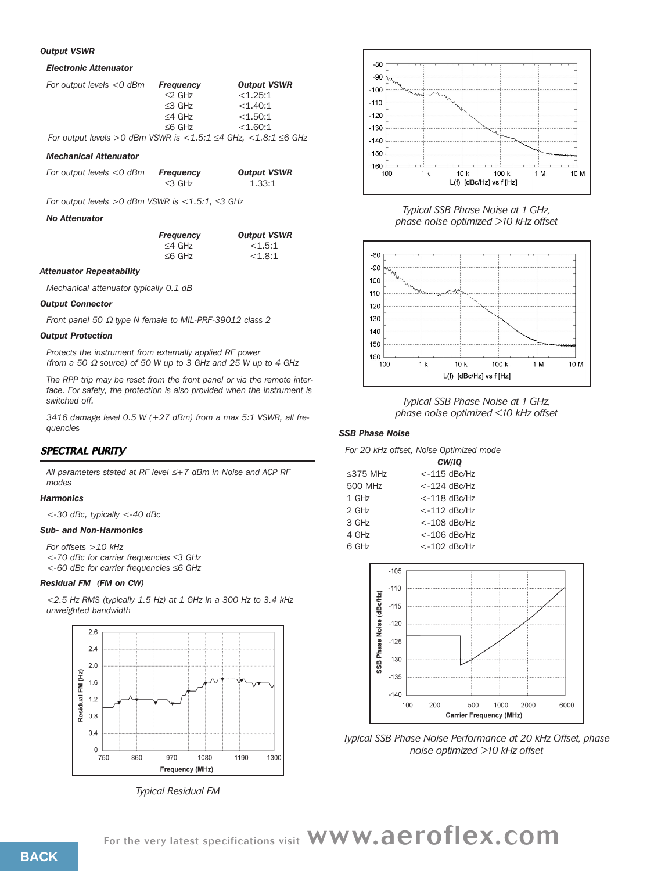### *Output VSWR*

### *Electronic Attenuator*

| For output levels $<$ 0 dBm                                                      | <b>Frequency</b> | <b>Output VSWR</b> |
|----------------------------------------------------------------------------------|------------------|--------------------|
|                                                                                  | $\leq$ 2 GHz     | < 1.25:1           |
|                                                                                  | $\leq$ 3 GHz     | < 1.40:1           |
|                                                                                  | $\leq$ 4 GHz     | < 1.50:1           |
|                                                                                  | $\leq 6$ GHz     | < 1.60:1           |
| For output levels > 0 dBm VSWR is $<$ 1.5:1 $\leq$ 4 GHz, $<$ 1.8:1 $\leq$ 6 GHz |                  |                    |

### *Mechanical Attenuator*

| For output levels $<$ 0 dBm | Frequency    | <b>Output VSWR</b> |  |
|-----------------------------|--------------|--------------------|--|
|                             | $\leq$ 3 GHz | 1.33:1             |  |

*For output levels >0 dBm VSWR is <1.5:1,* ≤*3 GHz*

### *No Attenuator*

| <b>Frequency</b> | <b>Output VSWR</b> |
|------------------|--------------------|
| $\leq$ 4 GHz     | < 1.5:1            |
| $\leq 6$ GHz     | < 1.8:1            |

### *Attenuator Repeatability*

*Mechanical attenuator typically 0.1 dB*

# *Output Connector*

*Front panel 50* <sup>Ω</sup> *type N female to MIL-PRF-39012 class 2*

# *Output Protection*

*Protects the instrument from externally applied RF power (from a 50* <sup>Ω</sup> *source) of 50 W up to 3 GHz and 25 W up to 4 GHz*

*The RPP trip may be reset from the front panel or via the remote interface. For safety, the protection is also provided when the instrument is switched off.*

*3416 damage level 0.5 W (+27 dBm) from a max 5:1 VSWR, all frequencies*

# SPECTRAL PURITY

*All parameters stated at RF level* ≤*+7 dBm in Noise and ACP RF modes*

# *Harmonics*

*<-30 dBc, typically <-40 dBc*

# *Sub- and Non-Harmonics*

*For offsets >10 kHz <-70 dBc for carrier frequencies* ≤*3 GHz <-60 dBc for carrier frequencies* ≤*6 GHz*

# *Residual FM (FM on CW)*

*<2.5 Hz RMS (typically 1.5 Hz) at 1 GHz in a 300 Hz to 3.4 kHz unweighted bandwidth*



*Typical Residual FM*



*Typical SSB Phase Noise at 1 GHz, phase noise optimized >10 kHz offset*



*Typical SSB Phase Noise at 1 GHz, phase noise optimized <10 kHz offset*

# *SSB Phase Noise*

*For 20 kHz offset, Noise Optimized mode*

|                | CW/IO           |
|----------------|-----------------|
| $\leq$ 375 MHz | $<$ -115 dBc/Hz |
| 500 MHz        | $<$ -124 dBc/Hz |
| 1 GHz          | $<$ -118 dBc/Hz |
| $2$ GHz        | $<$ -112 dBc/Hz |
| 3 GHz          | $< -108$ dBc/Hz |
| 4 GHz          | $<$ -106 dBc/Hz |
| 6 GHz          | $<$ -102 dBc/Hz |



*Typical SSB Phase Noise Performance at 20 kHz Offset, phase noise optimized >10 kHz offset*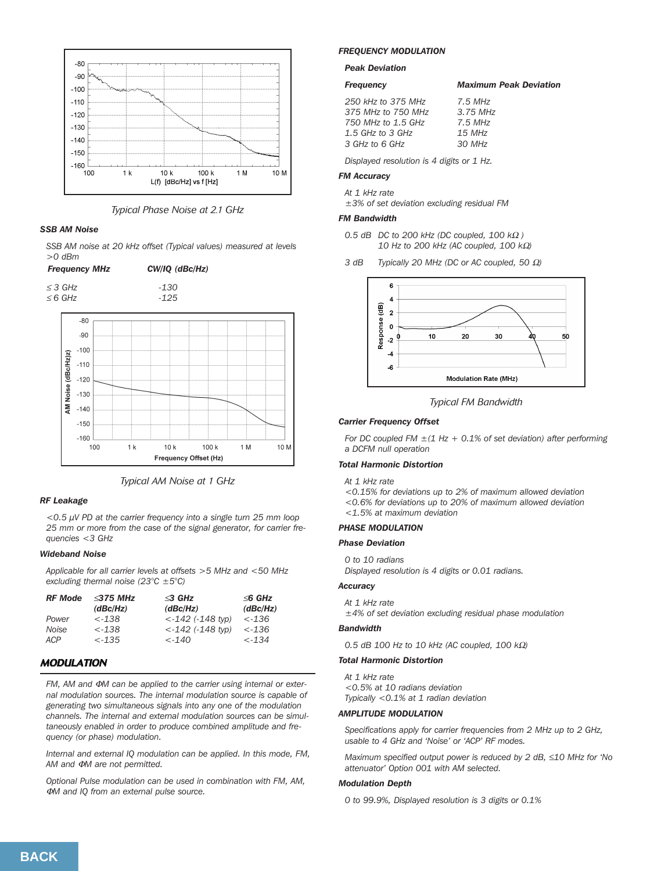

*Typical Phase Noise at 2.1 GHz*

# *SSB AM Noise*

*SSB AM noise at 20 kHz offset (Typical values) measured at levels >0 dBm*

# *Frequency MHz CW/IQ (dBc/Hz)*

<sup>≤</sup> *3 GHz -130* <sup>≤</sup>*6 GHz -125*





# *RF Leakage*

*<0.5 µV PD at the carrier frequency into a single turn 25 mm loop 25 mm or more from the case of the signal generator, for carrier frequencies <3 GHz*

# *Wideband Noise*

*Applicable for all carrier levels at offsets >5 MHz and <50 MHz excluding thermal noise (23°C ±5°C)*

| <b>RF</b> Mode | $\leq$ 375 MHz | $\triangleleft$ GHz    | $\leq$ 6 GHz    |
|----------------|----------------|------------------------|-----------------|
|                | (dBc/Hz)       | (dBc/Hz)               | (dBc/Hz)        |
| Power          | $< -138$       | $< -142$ (-148 tvp)    | $< -136$        |
| Noise          | $< -138$       | $< -142$ ( $-148$ typ) | $< -136$        |
| ACP            | $< -1.35$      | $\lt -140$             | $\epsilon$ -134 |

# **MODULATION**

*FM, AM and* Φ*M can be applied to the carrier using internal or external modulation sources. The internal modulation source is capable of generating two simultaneous signals into any one of the modulation channels. The internal and external modulation sources can be simultaneously enabled in order to produce combined amplitude and frequency (or phase) modulation.*

*Internal and external IQ modulation can be applied. In this mode, FM, AM and* Φ*M are not permitted.* 

*Optional Pulse modulation can be used in combination with FM, AM,* <sup>Φ</sup>*M and IQ from an external pulse source.*

### *FREQUENCY MODULATION*

*Peak Deviation*

# *Frequency Maximum Peak Deviation*

| 250 kHz to 375 MHz | $7.5$ MHz  |
|--------------------|------------|
| 375 MHz to 750 MHz | $3.75$ MHz |
| 750 MHz to 1.5 GHz | $7.5$ MHz  |
| 1.5 GHz to 3 GHz   | 15 MHz     |
| 3 GHz to 6 GHz     | 30 MHz     |
|                    |            |

*Displayed resolution is 4 digits or 1 Hz.*

# *FM Accuracy*

*At 1 kHz rate*

*±3% of set deviation excluding residual FM*

# *FM Bandwidth*

- *0.5 dB DC to 200 kHz (DC coupled, 100 k*<sup>Ω</sup> *) 10 Hz to 200 kHz (AC coupled, 100 k*Ω*)*
- *3 dB Typically 20 MHz (DC or AC coupled, 50* Ω*)*



*Typical FM Bandwidth*

# *Carrier Frequency Offset*

*For DC coupled FM ±(1 Hz + 0.1% of set deviation) after performing a DCFM null operation*

# *Total Harmonic Distortion*

*At 1 kHz rate*

*<0.15% for deviations up to 2% of maximum allowed deviation <0.6% for deviations up to 20% of maximum allowed deviation <1.5% at maximum deviation*

### *PHASE MODULATION*

### *Phase Deviation*

*0 to 10 radians*

*Displayed resolution is 4 digits or 0.01 radians.*

# *Accuracy*

*At 1 kHz rate ±4% of set deviation excluding residual phase modulation*

# *Bandwidth*

*0.5 dB 100 Hz to 10 kHz (AC coupled, 100 k*Ω*)*

# *Total Harmonic Distortion*

*At 1 kHz rate <0.5% at 10 radians deviation Typically <0.1% at 1 radian deviation*

### *AMPLITUDE MODULATION*

*Specifications apply for carrier frequencies from 2 MHz up to 2 GHz, usable to 4 GHz and 'Noise' or 'ACP' RF modes.* 

*Maximum specified output power is reduced by 2 dB,* ≤*10 MHz for 'No attenuator' Option 001 with AM selected.*

# *Modulation Depth*

*0 to 99.9%, Displayed resolution is 3 digits or 0.1%*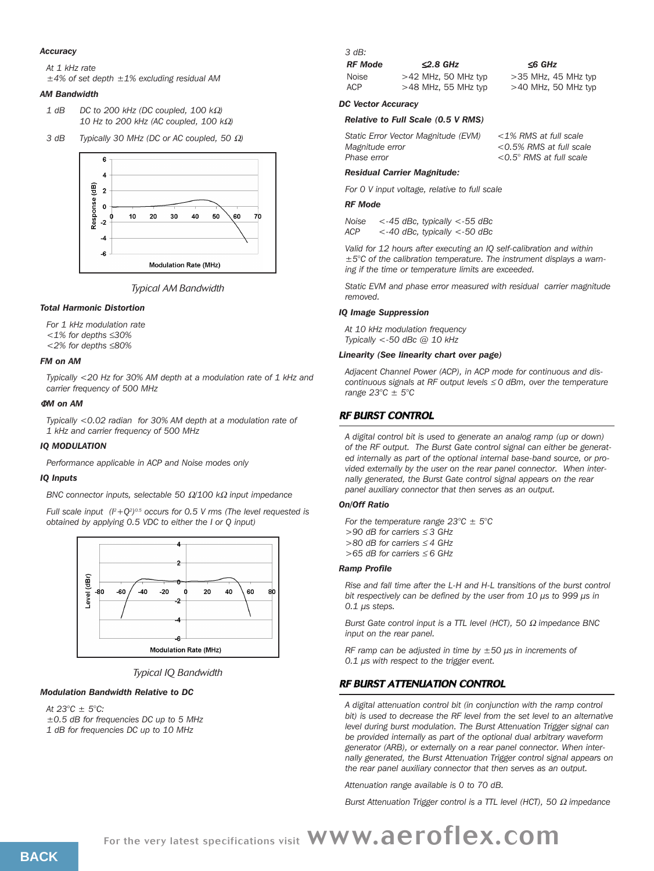### *Accuracy*

*At 1 kHz rate*

*±4% of set depth ±1% excluding residual AM*

# *AM Bandwidth*

| 1 dB | DC to 200 kHz (DC coupled, 100 k $\Omega$ )    |
|------|------------------------------------------------|
|      | 10 Hz to 200 kHz (AC coupled, 100 k $\Omega$ ) |

*3 dB Typically 30 MHz (DC or AC coupled, 50* Ω*)*



*Typical AM Bandwidth*

### *Total Harmonic Distortion*

*For 1 kHz modulation rate*

- *<1% for depths* ≤*30%*
- *<2% for depths* ≤*80%*

# *FM on AM*

*Typically <20 Hz for 30% AM depth at a modulation rate of 1 kHz and carrier frequency of 500 MHz*

# <sup>Φ</sup>*M on AM*

*Typically <0.02 radian for 30% AM depth at a modulation rate of 1 kHz and carrier frequency of 500 MHz*

### *IQ MODULATION*

*Performance applicable in ACP and Noise modes only*

### *IQ Inputs*

*BNC connector inputs, selectable 50* Ω*/100 k*<sup>Ω</sup> *input impedance*

*Full scale input*  $(l^2 + Q^2)^{0.5}$  occurs for 0.5 V rms (The level requested is *obtained by applying 0.5 VDC to either the I or Q input)*



*Typical IQ Bandwidth*

# *Modulation Bandwidth Relative to DC*

*At 23°C ± 5°C: ±0.5 dB for frequencies DC up to 5 MHz 1 dB for frequencies DC up to 10 MHz*

# *3 dB:*

| RF Mode | $\leq$ 2.8 GHz        | $\leq$ 6 GHz          |
|---------|-----------------------|-----------------------|
| Noise   | $>42$ MHz, 50 MHz typ | $>35$ MHz, 45 MHz typ |
| ACP     | $>48$ MHz, 55 MHz typ | $>40$ MHz, 50 MHz typ |

# *DC Vector Accuracy*

### *Relative to Full Scale (0.5 V RMS)*

| <i>Aagnitude error</i> |  |
|------------------------|--|
| Phase error            |  |

*Static Error Vector Magnitude (EVM) <1% RMS at full scale Magnitude error <0.5% RMS at full scale Phase error <0.5° RMS at full scale*

# *Residual Carrier Magnitude:*

*For 0 V input voltage, relative to full scale*

# *RF Mode*

*Noise <-45 dBc, typically <-55 dBc ACP <-40 dBc, typically <-50 dBc*

*Valid for 12 hours after executing an IQ self-calibration and within ±5°C of the calibration temperature. The instrument displays a warning if the time or temperature limits are exceeded.*

*Static EVM and phase error measured with residual carrier magnitude removed.*

### *IQ Image Suppression*

*At 10 kHz modulation frequency Typically <-50 dBc @ 10 kHz*

# *Linearity (See linearity chart over page)*

*Adjacent Channel Power (ACP), in ACP mode for continuous and discontinuous signals at RF output levels* ≤ *0 dBm, over the temperature range 23°C ± 5°C*

# RF BURST CONTROL

*A digital control bit is used to generate an analog ramp (up or down) of the RF output. The Burst Gate control signal can either be generated internally as part of the optional internal base-band source, or provided externally by the user on the rear panel connector. When internally generated, the Burst Gate control signal appears on the rear panel auxiliary connector that then serves as an output.*

### *On/Off Ratio*

*For the temperature range 23°C ± 5°C >90 dB for carriers* ≤ *3 GHz >80 dB for carriers* ≤ *4 GHz >65 dB for carriers* ≤ *6 GHz*

### *Ramp Profile*

*Rise and fall time after the L-H and H-L transitions of the burst control bit respectively can be defined by the user from 10 µs to 999 µs in 0.1 µs steps.*

*Burst Gate control input is a TTL level (HCT), 50* <sup>Ω</sup> *impedance BNC input on the rear panel.*

*RF ramp can be adjusted in time by ±50 µs in increments of 0.1 µs with respect to the trigger event.*

# RF BURST ATTENUATION CONTROL

*A digital attenuation control bit (in conjunction with the ramp control bit) is used to decrease the RF level from the set level to an alternative level during burst modulation. The Burst Attenuation Trigger signal can be provided internally as part of the optional dual arbitrary waveform generator (ARB), or externally on a rear panel connector. When internally generated, the Burst Attenuation Trigger control signal appears on the rear panel auxiliary connector that then serves as an output.*

*Attenuation range available is 0 to 70 dB.*

*Burst Attenuation Trigger control is a TTL level (HCT), 50* <sup>Ω</sup> *impedance*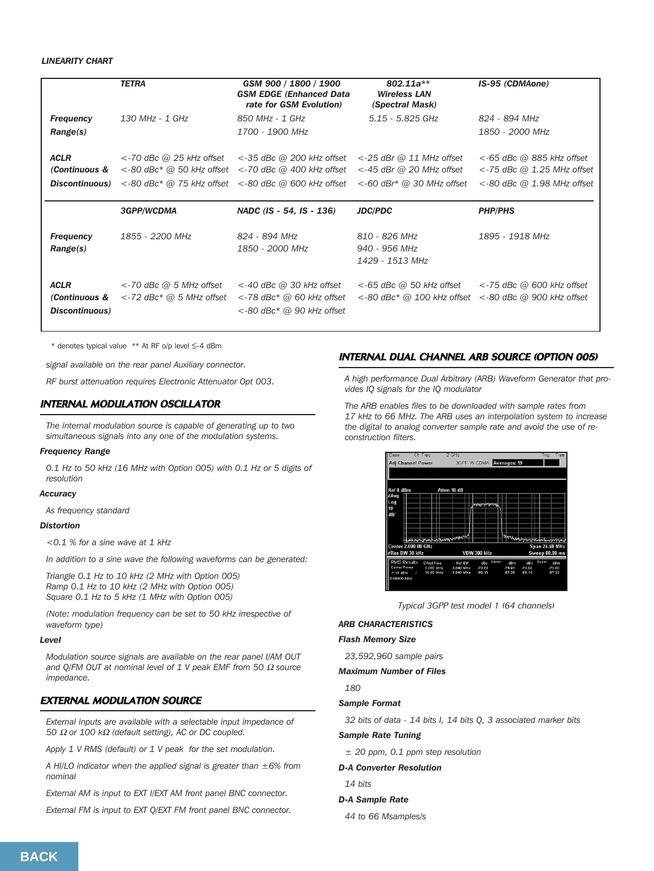# *LINEARITY CHART*

|                                                        | <b>TETRA</b>                                                                                | GSM 900 / 1800 / 1900<br><b>GSM EDGE (Enhanced Data)</b><br>rate for GSM Evolution)            | $802.11a**$<br><b>Wireless LAN</b><br>(Spectral Mask)                                      | IS-95 (CDMAone)                                                                                  |
|--------------------------------------------------------|---------------------------------------------------------------------------------------------|------------------------------------------------------------------------------------------------|--------------------------------------------------------------------------------------------|--------------------------------------------------------------------------------------------------|
| <b>Frequency</b>                                       | 130 MHz - 1 GHz                                                                             | 850 MHz - 1 GHz                                                                                | 5.15 - 5.825 GHz                                                                           | 824 - 894 MHz                                                                                    |
| Range(s)                                               |                                                                                             | 1700 - 1900 MHz                                                                                |                                                                                            | 1850 - 2000 MHz                                                                                  |
| <b>ACLR</b><br>(Continuous &<br><b>Discontinuous</b> ) | $<$ -70 dBc @ 25 kHz offset<br>$<$ -80 dBc* @ 50 kHz offset<br>$<$ -80 dBc* @ 75 kHz offset | $<$ -35 dBc $@$ 200 kHz offset<br>$<$ -70 dBc @ 400 kHz offset<br>$<$ -80 dBc @ 600 kHz offset | $<$ -25 dBr @ 11 MHz offset<br>$<$ -45 dBr @ 20 MHz offset<br>$<$ -60 dBr* @ 30 MHz offset | $<$ -65 dBc $@$ 885 kHz offset<br>$<$ -75 dBc @ 1.25 MHz offset<br>$<$ -80 dBc @ 1.98 MHz offset |
|                                                        |                                                                                             |                                                                                                |                                                                                            |                                                                                                  |
|                                                        | <b>3GPP/WCDMA</b>                                                                           | NADC (IS - 54, IS - 136)                                                                       | <b>JDC/PDC</b>                                                                             | <b>PHP/PHS</b>                                                                                   |
| <b>Frequency</b><br>Range(s)                           | 1855 - 2200 MHz                                                                             | 824 - 894 MHz<br>1850 - 2000 MHz                                                               | 810 - 826 MHz<br>940 - 956 MHz<br>1429 - 1513 MHz                                          | 1895 - 1918 MHz                                                                                  |

\* denotes typical value \*\* At RF o/p level ≤-4 dBm

*signal available on the rear panel Auxiliary connector.*

*RF burst attenuation requires Electronic Attenuator Opt 003.*

# INTERNAL MODULATION OSCILLATOR

*The internal modulation source is capable of generating up to two simultaneous signals into any one of the modulation systems.* 

# *Frequency Range*

*0.1 Hz to 50 kHz (16 MHz with Option 005) with 0.1 Hz or 5 digits of resolution*

### *Accuracy*

*As frequency standard*

# *Distortion*

*<0.1 % for a sine wave at 1 kHz*

*In addition to a sine wave the following waveforms can be generated:*

*Triangle 0.1 Hz to 10 kHz (2 MHz with Option 005) Ramp 0.1 Hz to 10 kHz (2 MHz with Option 005) Square 0.1 Hz to 5 kHz (1 MHz with Option 005)*

*(Note: modulation frequency can be set to 50 kHz irrespective of waveform type)* 

### *Level*

*Modulation source signals are available on the rear panel I/AM OUT and Q/FM OUT at nominal level of 1 V peak EMF from 50* <sup>Ω</sup> *source impedance.*

# EXTERNAL MODULATION SOURCE

*External inputs are available with a selectable input impedance of 50* <sup>Ω</sup> *or 100 k*<sup>Ω</sup> *(default setting), AC or DC coupled.*

*Apply 1 V RMS (default) or 1 V peak for the set modulation.*

*A HI/LO indicator when the applied signal is greater than ±6% from nominal*

*External AM is input to EXT I/EXT AM front panel BNC connector.*

*External FM is input to EXT Q/EXT FM front panel BNC connector.*

# INTERNAL DUAL CHANNEL ARB SOURCE (OPTION 005)

*A high performance Dual Arbitrary (ARB) Waveform Generator that provides IQ signals for the IQ modulator*

*The ARB enables files to be downloaded with sample rates from 17 kHz to 66 MHz. The ARB uses an interpolation system to increase the digital to analog converter sample rate and avoid the use of reconstruction filters.*

| Base                 |                              | Ch Freq            | 2 GHz       |  |                          |       |                                 |                                                         | Trig  | Free                  |
|----------------------|------------------------------|--------------------|-------------|--|--------------------------|-------|---------------------------------|---------------------------------------------------------|-------|-----------------------|
|                      | <b>Adj Channel Power</b>     |                    |             |  |                          |       | <b>3GPP W-CDMA Averages: 19</b> |                                                         |       |                       |
|                      |                              |                    |             |  |                          |       |                                 |                                                         |       |                       |
|                      |                              |                    |             |  |                          |       |                                 |                                                         |       |                       |
| Ref 0 dBm            |                              |                    | Atten 10 dB |  |                          |       |                                 |                                                         |       |                       |
| #Avg                 |                              |                    |             |  |                          |       |                                 |                                                         |       |                       |
| Log                  |                              |                    |             |  | <b>Which is the this</b> |       |                                 |                                                         |       |                       |
| 10                   |                              |                    |             |  |                          |       |                                 |                                                         |       |                       |
| dB/                  |                              |                    |             |  |                          |       |                                 |                                                         |       |                       |
|                      |                              |                    |             |  |                          |       |                                 |                                                         |       |                       |
|                      |                              |                    |             |  |                          |       |                                 |                                                         |       |                       |
|                      |                              |                    |             |  |                          |       |                                 |                                                         |       |                       |
|                      | Hammer James Stephenson Park |                    |             |  |                          |       |                                 | <b><i>Mary has she are provided the designation</i></b> |       |                       |
|                      | Center 2,000 00 GHz          |                    |             |  |                          |       |                                 |                                                         |       | <b>Span 24.68 MHz</b> |
|                      | #Res BW 30 kHz               |                    |             |  | <b>VBW 300 kHz</b>       |       |                                 |                                                         |       | Sweep 80.08 ms        |
|                      | <b>RMS Results</b>           | <b>Offset Freq</b> | Ref BW      |  | dBo                      | Lower | dBm                             | dB o                                                    | Upper | dBm                   |
| <b>Carrier Power</b> |                              | 5,000 MHz          | 3.840 MHz   |  | $-73.73$                 |       | $-74.91$                        | $-73.82$                                                |       | $-76.00$              |
| $-1.18$ dBm          | $\mathcal{L}_{\mathcal{L}}$  | 10.00 MHz          | 3.840 MHz   |  | $-36.10$                 |       | .87.28                          | $-86.14$                                                |       | $-87.32$              |
| 3.84000 MHz          |                              |                    |             |  |                          |       |                                 |                                                         |       |                       |
|                      |                              |                    |             |  |                          |       |                                 |                                                         |       |                       |

*Typical 3GPP test model 1 (64 channels)*

### *ARB CHARACTERISTICS*

### *Flash Memory Size*

*23,592,960 sample pairs*

### *Maximum Number of Files*

*180*

### *Sample Format*

*32 bits of data - 14 bits I, 14 bits Q, 3 associated marker bits*

# *Sample Rate Tuning*

*± 20 ppm, 0.1 ppm step resolution*

# *D-A Converter Resolution*

*14 bits* 

# *D-A Sample Rate*

*44 to 66 Msamples/s*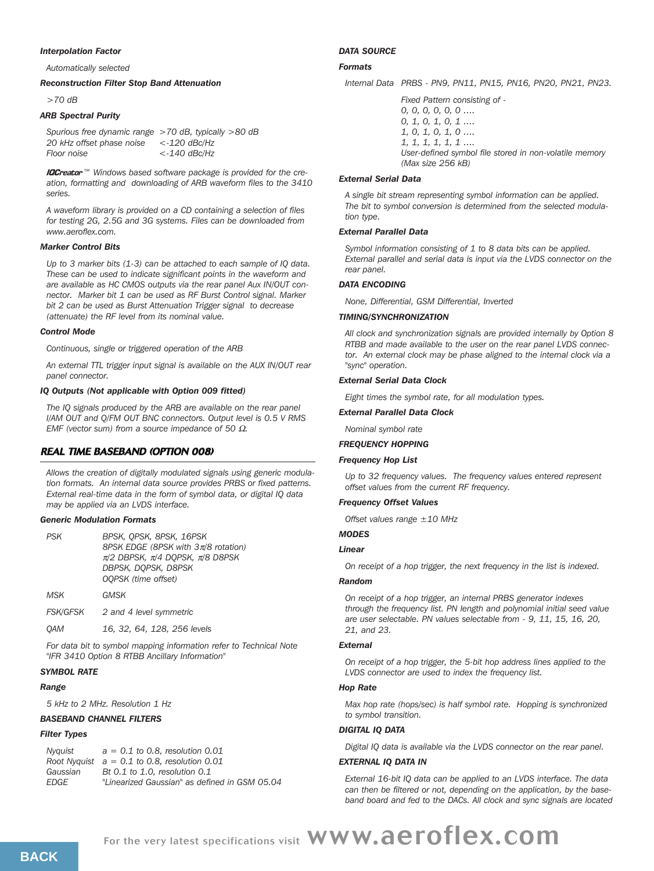### *Interpolation Factor*

*Automatically selected*

# *Reconstruction Filter Stop Band Attenuation*

*>70 dB*

# *ARB Spectral Purity*

*Spurious free dynamic range >70 dB, typically >80 dB 20 kHz offset phase noise <-120 dBc/Hz Floor noise <-140 dBc/Hz*

**IQCreator**<sup>™</sup> Windows based software package is provided for the cre*ation, formatting and downloading of ARB waveform files to the 3410 series.*

*A waveform library is provided on a CD containing a selection of files for testing 2G, 2.5G and 3G systems. Files can be downloaded from www.aeroflex.com.*

### *Marker Control Bits*

*Up to 3 marker bits (1-3) can be attached to each sample of IQ data. These can be used to indicate significant points in the waveform and are available as HC CMOS outputs via the rear panel Aux IN/OUT connector. Marker bit 1 can be used as RF Burst Control signal. Marker bit 2 can be used as Burst Attenuation Trigger signal to decrease (attenuate) the RF level from its nominal value.* 

### *Control Mode*

*Continuous, single or triggered operation of the ARB*

*An external TTL trigger input signal is available on the AUX IN/OUT rear panel connector.*

# *IQ Outputs (Not applicable with Option 009 fitted)*

*The IQ signals produced by the ARB are available on the rear panel I/AM OUT and Q/FM OUT BNC connectors. Output level is 0.5 V RMS EMF (vector sum) from a source impedance of 50* Ω*.*

# REAL TIME BASEBAND (OPTION 008)

*Allows the creation of digitally modulated signals using generic modulation formats. An internal data source provides PRBS or fixed patterns. External real-time data in the form of symbol data, or digital IQ data may be applied via an LVDS interface.*

### *Generic Modulation Formats*

| <b>PSK</b>      | BPSK, OPSK, 8PSK, 16PSK<br>8PSK EDGE (8PSK with $3\pi/8$ rotation)<br>$\pi/2$ DBPSK, $\pi/4$ DOPSK, $\pi/8$ D8PSK<br>DBPSK, DOPSK, D8PSK<br>OOPSK (time offset) |
|-----------------|-----------------------------------------------------------------------------------------------------------------------------------------------------------------|
| MSK             | GMSK                                                                                                                                                            |
| <i>FSK/GFSK</i> | 2 and 4 level symmetric                                                                                                                                         |

*QAM 16, 32, 64, 128, 256 levels*

*For data bit to symbol mapping information refer to Technical Note "IFR 3410 Option 8 RTBB Ancillary Information"*

# *SYMBOL RATE*

# *Range*

*5 kHz to 2 MHz. Resolution 1 Hz*

# *BASEBAND CHANNEL FILTERS*

# *Filter Types*

| Nvauist     | $a = 0.1$ to 0.8, resolution 0.01              |
|-------------|------------------------------------------------|
|             | Root Nyquist $a = 0.1$ to 0.8, resolution 0.01 |
| Gaussian    | Bt 0.1 to 1.0, resolution 0.1                  |
| <b>FDGF</b> | "Linearized Gaussian" as defined in GSM 05.04  |

### *DATA SOURCE*

### *Formats*

*Internal Data PRBS - PN9, PN11, PN15, PN16, PN20, PN21, PN23.*

*Fixed Pattern consisting of - 0, 0, 0, 0, 0, 0 …. 0, 1, 0, 1, 0, 1 …. 1, 0, 1, 0, 1, 0 …. 1, 1, 1, 1, 1, 1 …. User-defined symbol file stored in non-volatile memory (Max size 256 kB)*

### *External Serial Data*

*A single bit stream representing symbol information can be applied. The bit to symbol conversion is determined from the selected modulation type.*

### *External Parallel Data*

*Symbol information consisting of 1 to 8 data bits can be applied. External parallel and serial data is input via the LVDS connector on the rear panel.*

### *DATA ENCODING*

*None, Differential, GSM Differential, Inverted*

# *TIMING/SYNCHRONIZATION*

*All clock and synchronization signals are provided internally by Option 8 RTBB and made available to the user on the rear panel LVDS connector. An external clock may be phase aligned to the internal clock via a "sync" operation.* 

### *External Serial Data Clock*

*Eight times the symbol rate, for all modulation types.*

*External Parallel Data Clock*

*Nominal symbol rate*

# *FREQUENCY HOPPING*

# *Frequency Hop List*

*Up to 32 frequency values. The frequency values entered represent offset values from the current RF frequency.*

### *Frequency Offset Values*

*Offset values range ±10 MHz*

# *MODES*

# *Linear*

*On receipt of a hop trigger, the next frequency in the list is indexed.*

### *Random*

*On receipt of a hop trigger, an internal PRBS generator indexes through the frequency list. PN length and polynomial initial seed value are user selectable. PN values selectable from - 9, 11, 15, 16, 20, 21, and 23.* 

### *External*

*On receipt of a hop trigger, the 5-bit hop address lines applied to the LVDS connector are used to index the frequency list.*

# *Hop Rate*

*Max hop rate (hops/sec) is half symbol rate. Hopping is synchronized to symbol transition.*

# *DIGITAL IQ DATA*

*Digital IQ data is available via the LVDS connector on the rear panel.*

### *EXTERNAL IQ DATA IN*

*External 16-bit IQ data can be applied to an LVDS interface. The data can then be filtered or not, depending on the application, by the baseband board and fed to the DACs. All clock and sync signals are located*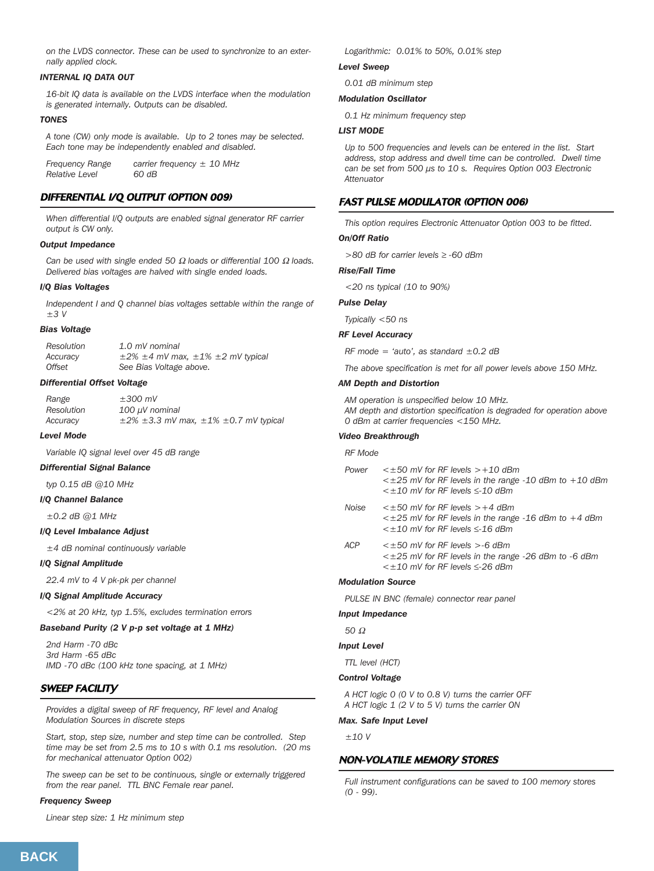*on the LVDS connector. These can be used to synchronize to an externally applied clock.*

# *INTERNAL IQ DATA OUT*

*16-bit IQ data is available on the LVDS interface when the modulation is generated internally. Outputs can be disabled.*

### *TONES*

*A tone (CW) only mode is available. Up to 2 tones may be selected. Each tone may be independently enabled and disabled.*

*Frequency Range carrier frequency ± 10 MHz Relative Level 60 dB*

# DIFFERENTIAL I/Q OUTPUT (OPTION 009)

*When differential I/Q outputs are enabled signal generator RF carrier output is CW only.*

# *Output Impedance*

*Can be used with single ended 50* <sup>Ω</sup> *loads or differential 100* <sup>Ω</sup> *loads. Delivered bias voltages are halved with single ended loads.*

# *I/Q Bias Voltages*

*Independent I and Q channel bias voltages settable within the range of ±3 V*

### *Bias Voltage*

| Resolution | 1.0 mV nominal                                         |
|------------|--------------------------------------------------------|
| Accuracy   | $\pm 2\%$ $\pm 4$ mV max, $\pm 1\%$ $\pm 2$ mV typical |
| Offset     | See Bias Voltage above.                                |

### *Differential Offset Voltage*

| Range      | $\pm 300$ mV                                             |
|------------|----------------------------------------------------------|
| Resolution | $100 \mu V$ nominal                                      |
| Accuracy   | $\pm$ 2% $\pm$ 3.3 mV max, $\pm$ 1% $\pm$ 0.7 mV typical |

# *Level Mode*

*Variable IQ signal level over 45 dB range*

# *Differential Signal Balance*

*typ 0.15 dB @10 MHz*

# *I/Q Channel Balance*

*±0.2 dB @1 MHz*

# *I/Q Level Imbalance Adjust*

*±4 dB nominal continuously variable*

# *I/Q Signal Amplitude*

*22.4 mV to 4 V pk-pk per channel*

# *I/Q Signal Amplitude Accuracy*

*<2% at 20 kHz, typ 1.5%, excludes termination errors* 

# *Baseband Purity (2 V p-p set voltage at 1 MHz)*

*2nd Harm -70 dBc 3rd Harm -65 dBc IMD -70 dBc (100 kHz tone spacing, at 1 MHz)*

# SWEEP FACILITY

*Provides a digital sweep of RF frequency, RF level and Analog Modulation Sources in discrete steps*

*Start, stop, step size, number and step time can be controlled. Step time may be set from 2.5 ms to 10 s with 0.1 ms resolution. (20 ms for mechanical attenuator Option 002)* 

*The sweep can be set to be continuous, single or externally triggered from the rear panel. TTL BNC Female rear panel.*

### *Frequency Sweep*

*Linear step size: 1 Hz minimum step*

*Logarithmic: 0.01% to 50%, 0.01% step*

# *Level Sweep*

*0.01 dB minimum step*

# *Modulation Oscillator*

*0.1 Hz minimum frequency step*

# *LIST MODE*

*Up to 500 frequencies and levels can be entered in the list. Start address, stop address and dwell time can be controlled. Dwell time can be set from 500 µs to 10 s. Requires Option 003 Electronic Attenuator*

# FAST PULSE MODULATOR (OPTION 006)

*This option requires Electronic Attenuator Option 003 to be fitted.* 

# *On/Off Ratio*

*>80 dB for carrier levels* ≥ *-60 dBm*

*Rise/Fall Time*

*<20 ns typical (10 to 90%)*

*Pulse Delay*

*Typically <50 ns*

### *RF Level Accuracy*

*RF mode = 'auto', as standard ±0.2 dB*

*The above specification is met for all power levels above 150 MHz.* 

### *AM Depth and Distortion*

*AM operation is unspecified below 10 MHz. AM depth and distortion specification is degraded for operation above 0 dBm at carrier frequencies <150 MHz.*

# *Video Breakthrough*

# *RF Mode*

| Power | $\leq \pm 50$ mV for RF levels $> +10$ dBm                       |
|-------|------------------------------------------------------------------|
|       | $\leq \pm 25$ mV for RF levels in the range -10 dBm to $+10$ dBm |
|       | $\leq \pm 10$ mV for RF levels $\leq$ -10 dBm                    |

*Noise <±50 mV for RF levels >+4 dBm <±25 mV for RF levels in the range -16 dBm to +4 dBm <±10 mV for RF levels* ≤*-16 dBm*

*ACP <±50 mV for RF levels >-6 dBm <±25 mV for RF levels in the range -26 dBm to -6 dBm <±10 mV for RF levels* ≤*-26 dBm*

# *Modulation Source*

*PULSE IN BNC (female) connector rear panel* 

*Input Impedance*

# *50* <sup>Ω</sup>

# *Input Level*

*TTL level (HCT)*

### *Control Voltage*

*A HCT logic 0 (0 V to 0.8 V) turns the carrier OFF A HCT logic 1 (2 V to 5 V) turns the carrier ON*

# *Max. Safe Input Level*

*±10 V*

# NON-VOLATILE MEMORY STORES

*Full instrument configurations can be saved to 100 memory stores (0 - 99).*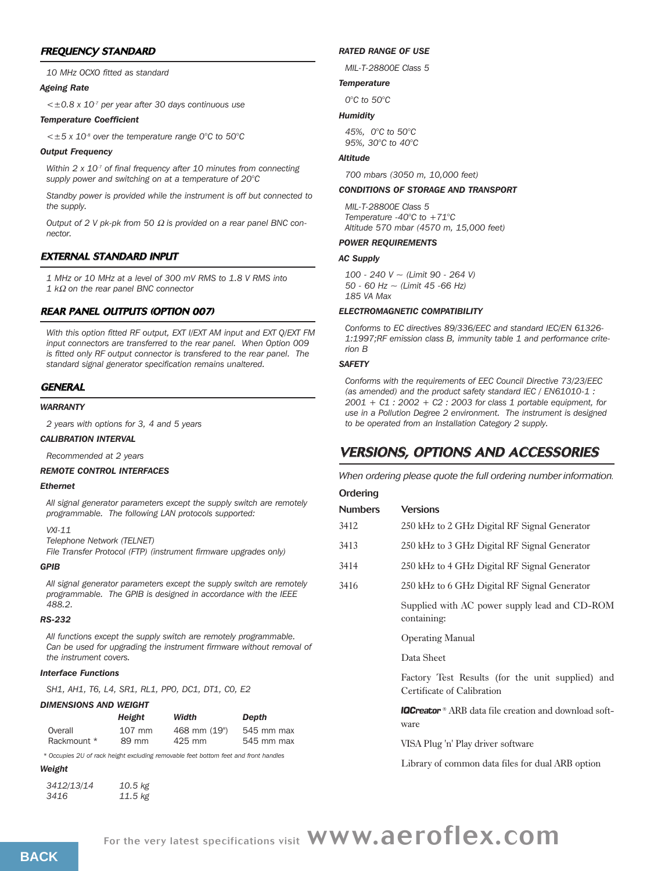# FREQUENCY STANDARD

*10 MHz OCXO fitted as standard*

# *Ageing Rate*

*<±0.8 x 10-7 per year after 30 days continuous use*

# *Temperature Coefficient*

*<±5 x 10-8 over the temperature range 0°C to 50°C*

# *Output Frequency*

*Within 2 x 10-7 of final frequency after 10 minutes from connecting supply power and switching on at a temperature of 20°C*

*Standby power is provided while the instrument is off but connected to the supply.*

*Output of 2 V pk-pk from 50* <sup>Ω</sup> *is provided on a rear panel BNC connector.*

# EXTERNAL STANDARD INPUT

*1 MHz or 10 MHz at a level of 300 mV RMS to 1.8 V RMS into* 

*1 k*<sup>Ω</sup> *on the rear panel BNC connector*

# REAR PANEL OUTPUTS (OPTION 007)

*With this option fitted RF output, EXT I/EXT AM input and EXT Q/EXT FM input connectors are transferred to the rear panel. When Option 009 is fitted only RF output connector is transfered to the rear panel. The standard signal generator specification remains unaltered.*

# **GENERAL**

# *WARRANTY*

*2 years with options for 3, 4 and 5 years*

# *CALIBRATION INTERVAL*

*Recommended at 2 years*

# *REMOTE CONTROL INTERFACES*

# *Ethernet*

*All signal generator parameters except the supply switch are remotely programmable. The following LAN protocols supported:*

*VXI-11*

*Telephone Network (TELNET)*

*File Transfer Protocol (FTP) (instrument firmware upgrades only)*

# *GPIB*

*All signal generator parameters except the supply switch are remotely programmable. The GPIB is designed in accordance with the IEEE 488.2.*

# *RS-232*

*All functions except the supply switch are remotely programmable. Can be used for upgrading the instrument firmware without removal of the instrument covers.*

# *Interface Functions*

*SH1, AH1, T6, L4, SR1, RL1, PP0, DC1, DT1, C0, E2*

# *DIMENSIONS AND WEIGHT*

|             | Height   | Width        | Depth      |
|-------------|----------|--------------|------------|
| Overall     | $107$ mm | 468 mm (19") | 545 mm max |
| Rackmount * | 89 mm    | 425 mm       | 545 mm max |

*\* Occupies 2U of rack height excluding removable feet bottom feet and front handles*

# *Weight*

| 3412/13/14 | $10.5$ kg |
|------------|-----------|
| 3416       | $11.5$ kg |

# *RATED RANGE OF USE*

*MIL-T-28800E Class 5*

# *Temperature*

*0°C to 50°C*

# *Humidity*

*45%, 0°C to 50°C 95%, 30°C to 40°C* 

### *Altitude*

*700 mbars (3050 m, 10,000 feet)*

# *CONDITIONS OF STORAGE AND TRANSPORT*

*MIL-T-28800E Class 5 Temperature -40°C to +71°C Altitude 570 mbar (4570 m, 15,000 feet)*

# *POWER REQUIREMENTS*

### *AC Supply*

*100 - 240 V ~ (Limit 90 - 264 V) 50 - 60 Hz ~ (Limit 45 -66 Hz) 185 VA Max*

# *ELECTROMAGNETIC COMPATIBILITY*

*Conforms to EC directives 89/336/EEC and standard IEC/EN 61326- 1:1997;RF emission class B, immunity table 1 and performance criterion B*

# *SAFETY*

*Conforms with the requirements of EEC Council Directive 73/23/EEC (as amended) and the product safety standard IEC / EN61010-1 : 2001 + C1 : 2002 + C2 : 2003 for class 1 portable equipment, for use in a Pollution Degree 2 environment. The instrument is designed to be operated from an Installation Category 2 supply.*

# VERSIONS, OPTIONS AND ACCESSORIES

*When ordering please quote the full ordering number information.*

| Ordering       |                                                                                |  |  |
|----------------|--------------------------------------------------------------------------------|--|--|
| <b>Numbers</b> | <b>Versions</b>                                                                |  |  |
| 3412           | 250 kHz to 2 GHz Digital RF Signal Generator                                   |  |  |
| 3413           | 250 kHz to 3 GHz Digital RF Signal Generator                                   |  |  |
| 3414           | 250 kHz to 4 GHz Digital RF Signal Generator                                   |  |  |
| 3416           | 250 kHz to 6 GHz Digital RF Signal Generator                                   |  |  |
|                | Supplied with AC power supply lead and CD-ROM<br>containing:                   |  |  |
|                | <b>Operating Manual</b>                                                        |  |  |
|                | Data Sheet                                                                     |  |  |
|                | Factory Test Results (for the unit supplied) and<br>Certificate of Calibration |  |  |

**IQCreator**<sup>®</sup> ARB data file creation and download software

VISA Plug 'n' Play driver software

Library of common data files for dual ARB option